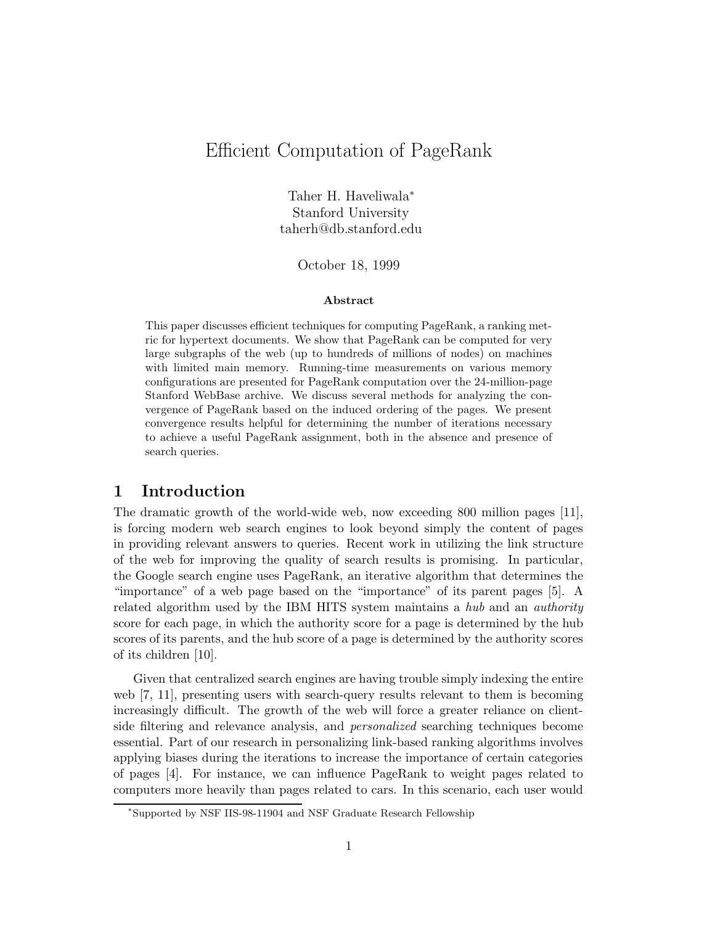# Efficient Computation of PageRank

Taher H. Haveliwala<sup>∗</sup> Stanford University taherh@db.stanford.edu

October 18, 1999

#### Abstract

This paper discusses efficient techniques for computing PageRank, a ranking metric for hypertext documents. We show that PageRank can be computed for very large subgraphs of the web (up to hundreds of millions of nodes) on machines with limited main memory. Running-time measurements on various memory configurations are presented for PageRank computation over the 24-million-page Stanford WebBase archive. We discuss several methods for analyzing the convergence of PageRank based on the induced ordering of the pages. We present convergence results helpful for determining the number of iterations necessary to achieve a useful PageRank assignment, both in the absence and presence of search queries.

### 1 Introduction

The dramatic growth of the world-wide web, now exceeding 800 million pages [11], is forcing modern web search engines to look beyond simply the content of pages in providing relevant answers to queries. Recent work in utilizing the link structure of the web for improving the quality of search results is promising. In particular, the Google search engine uses PageRank, an iterative algorithm that determines the "importance" of a web page based on the "importance" of its parent pages [5]. A related algorithm used by the IBM HITS system maintains a hub and an authority score for each page, in which the authority score for a page is determined by the hub scores of its parents, and the hub score of a page is determined by the authority scores of its children [10].

Given that centralized search engines are having trouble simply indexing the entire web [7, 11], presenting users with search-query results relevant to them is becoming increasingly difficult. The growth of the web will force a greater reliance on clientside filtering and relevance analysis, and personalized searching techniques become essential. Part of our research in personalizing link-based ranking algorithms involves applying biases during the iterations to increase the importance of certain categories of pages [4]. For instance, we can influence PageRank to weight pages related to computers more heavily than pages related to cars. In this scenario, each user would

<sup>∗</sup>Supported by NSF IIS-98-11904 and NSF Graduate Research Fellowship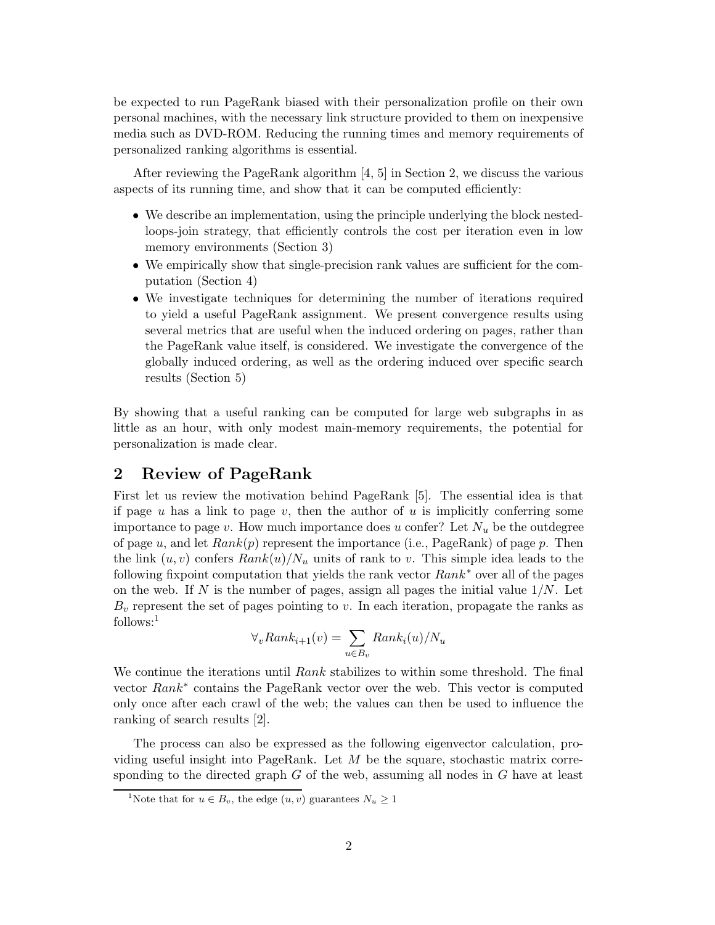be expected to run PageRank biased with their personalization profile on their own personal machines, with the necessary link structure provided to them on inexpensive media such as DVD-ROM. Reducing the running times and memory requirements of personalized ranking algorithms is essential.

After reviewing the PageRank algorithm  $[4, 5]$  in Section 2, we discuss the various aspects of its running time, and show that it can be computed efficiently:

- We describe an implementation, using the principle underlying the block nestedloops-join strategy, that efficiently controls the cost per iteration even in low memory environments (Section 3)
- We empirically show that single-precision rank values are sufficient for the computation (Section 4)
- We investigate techniques for determining the number of iterations required to yield a useful PageRank assignment. We present convergence results using several metrics that are useful when the induced ordering on pages, rather than the PageRank value itself, is considered. We investigate the convergence of the globally induced ordering, as well as the ordering induced over specific search results (Section 5)

By showing that a useful ranking can be computed for large web subgraphs in as little as an hour, with only modest main-memory requirements, the potential for personalization is made clear.

# 2 Review of PageRank

First let us review the motivation behind PageRank [5]. The essential idea is that if page u has a link to page v, then the author of u is implicitly conferring some importance to page v. How much importance does u confer? Let  $N_u$  be the outdegree of page u, and let  $Rank(p)$  represent the importance (i.e., PageRank) of page p. Then the link  $(u, v)$  confers  $Rank(u)/N_u$  units of rank to v. This simple idea leads to the following fixpoint computation that yields the rank vector  $Rank^*$  over all of the pages on the web. If N is the number of pages, assign all pages the initial value  $1/N$ . Let  $B_v$  represent the set of pages pointing to v. In each iteration, propagate the ranks as follows:<sup>1</sup>

$$
\forall_{v} Rank_{i+1}(v) = \sum_{u \in B_{v}} Rank_{i}(u)/N_{u}
$$

We continue the iterations until Rank stabilizes to within some threshold. The final vector Rank<sup>∗</sup> contains the PageRank vector over the web. This vector is computed only once after each crawl of the web; the values can then be used to influence the ranking of search results [2].

The process can also be expressed as the following eigenvector calculation, providing useful insight into PageRank. Let  $M$  be the square, stochastic matrix corresponding to the directed graph  $G$  of the web, assuming all nodes in  $G$  have at least

<sup>&</sup>lt;sup>1</sup>Note that for  $u \in B_v$ , the edge  $(u, v)$  guarantees  $N_u \geq 1$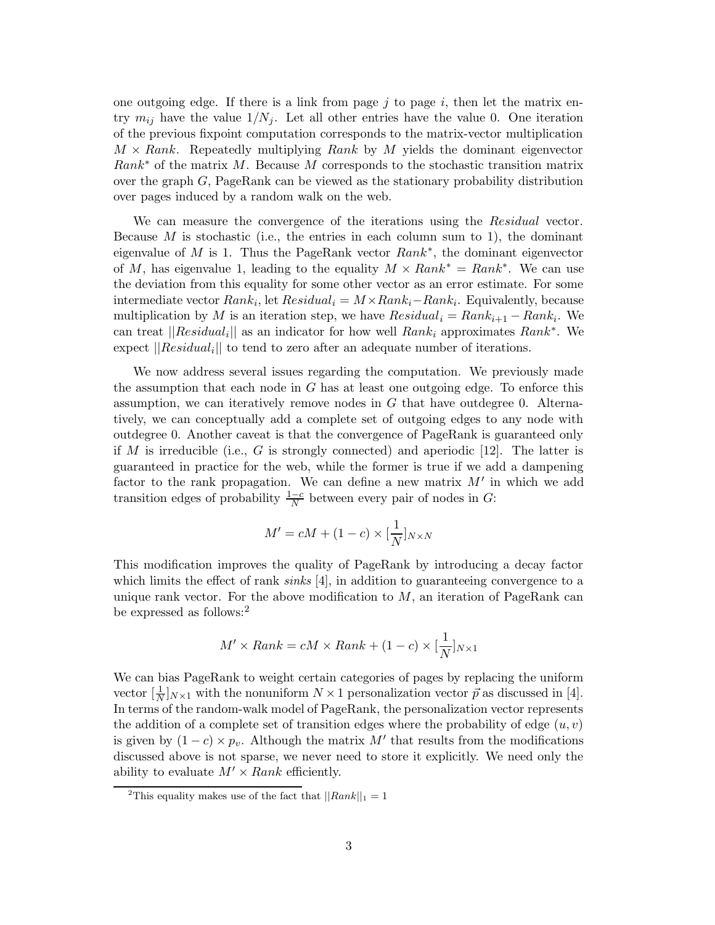one outgoing edge. If there is a link from page  $j$  to page  $i$ , then let the matrix entry  $m_{ij}$  have the value  $1/N_i$ . Let all other entries have the value 0. One iteration of the previous fixpoint computation corresponds to the matrix-vector multiplication  $M \times Rank$ . Repeatedly multiplying Rank by M yields the dominant eigenvector  $Rank^*$  of the matrix M. Because M corresponds to the stochastic transition matrix over the graph G, PageRank can be viewed as the stationary probability distribution over pages induced by a random walk on the web.

We can measure the convergence of the iterations using the *Residual* vector. Because  $M$  is stochastic (i.e., the entries in each column sum to 1), the dominant eigenvalue of M is 1. Thus the PageRank vector  $Rank^*$ , the dominant eigenvector of M, has eigenvalue 1, leading to the equality  $M \times Rank^* = Rank^*$ . We can use the deviation from this equality for some other vector as an error estimate. For some intermediate vector  $Rank_i$ , let  $Residual_i = M \times Rank_i - Rank_i$ . Equivalently, because multiplication by M is an iteration step, we have  $Residual_i = Rank_{i+1} - Rank_i$ . We can treat  $||Residual_i||$  as an indicator for how well  $Rank_i$  approximates  $Rank^*$ . We expect  $\vert\vert Residual_i\vert\vert$  to tend to zero after an adequate number of iterations.

We now address several issues regarding the computation. We previously made the assumption that each node in  $G$  has at least one outgoing edge. To enforce this assumption, we can iteratively remove nodes in  $G$  that have outdegree 0. Alternatively, we can conceptually add a complete set of outgoing edges to any node with outdegree 0. Another caveat is that the convergence of PageRank is guaranteed only if M is irreducible (i.e., G is strongly connected) and aperiodic [12]. The latter is guaranteed in practice for the web, while the former is true if we add a dampening factor to the rank propagation. We can define a new matrix  $M'$  in which we add transition edges of probability  $\frac{1-c}{N}$  between every pair of nodes in G:

$$
M' = cM + (1 - c) \times \left[\frac{1}{N}\right]_{N \times N}
$$

This modification improves the quality of PageRank by introducing a decay factor which limits the effect of rank  $sinks$  [4], in addition to guaranteeing convergence to a unique rank vector. For the above modification to  $M$ , an iteration of PageRank can be expressed as follows:<sup>2</sup>

$$
M' \times Rank = cM \times Rank + (1 - c) \times \left[\frac{1}{N}\right]_{N \times 1}
$$

We can bias PageRank to weight certain categories of pages by replacing the uniform vector  $\left[\frac{1}{N}\right]$  $\frac{1}{N}$ , with the nonuniform  $N \times 1$  personalization vector  $\vec{p}$  as discussed in [4]. In terms of the random-walk model of PageRank, the personalization vector represents the addition of a complete set of transition edges where the probability of edge  $(u, v)$ is given by  $(1 - c) \times p_v$ . Although the matrix M' that results from the modifications discussed above is not sparse, we never need to store it explicitly. We need only the ability to evaluate  $M' \times Rank$  efficiently.

<sup>&</sup>lt;sup>2</sup>This equality makes use of the fact that  $||Rank||_1 = 1$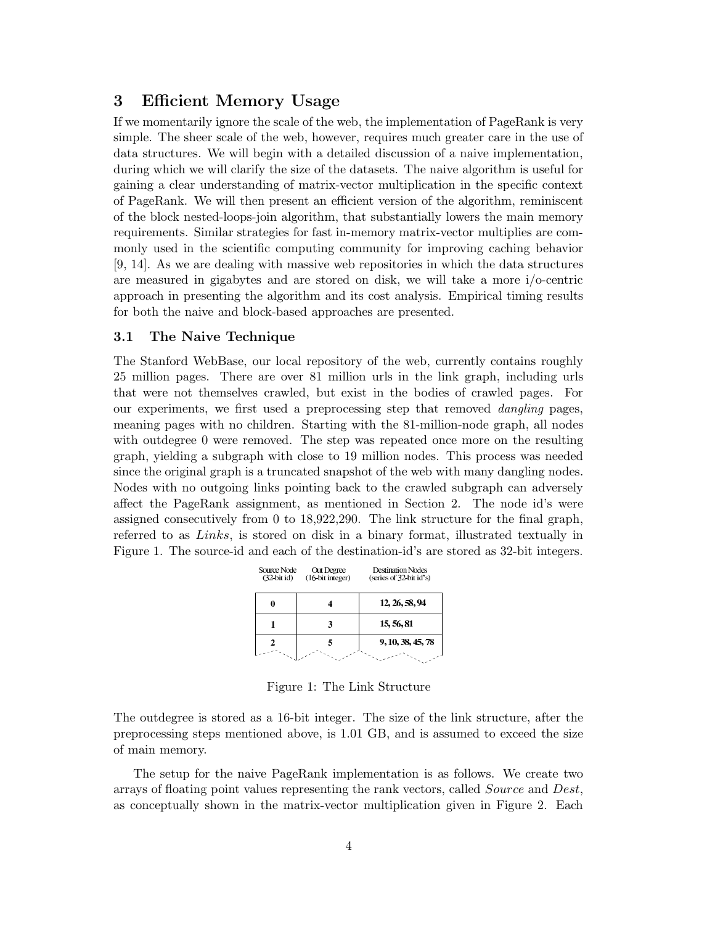### 3 Efficient Memory Usage

If we momentarily ignore the scale of the web, the implementation of PageRank is very simple. The sheer scale of the web, however, requires much greater care in the use of data structures. We will begin with a detailed discussion of a naive implementation, during which we will clarify the size of the datasets. The naive algorithm is useful for gaining a clear understanding of matrix-vector multiplication in the specific context of PageRank. We will then present an efficient version of the algorithm, reminiscent of the block nested-loops-join algorithm, that substantially lowers the main memory requirements. Similar strategies for fast in-memory matrix-vector multiplies are commonly used in the scientific computing community for improving caching behavior [9, 14]. As we are dealing with massive web repositories in which the data structures are measured in gigabytes and are stored on disk, we will take a more i/o-centric approach in presenting the algorithm and its cost analysis. Empirical timing results for both the naive and block-based approaches are presented.

#### 3.1 The Naive Technique

The Stanford WebBase, our local repository of the web, currently contains roughly 25 million pages. There are over 81 million urls in the link graph, including urls that were not themselves crawled, but exist in the bodies of crawled pages. For our experiments, we first used a preprocessing step that removed dangling pages, meaning pages with no children. Starting with the 81-million-node graph, all nodes with outdegree 0 were removed. The step was repeated once more on the resulting graph, yielding a subgraph with close to 19 million nodes. This process was needed since the original graph is a truncated snapshot of the web with many dangling nodes. Nodes with no outgoing links pointing back to the crawled subgraph can adversely affect the PageRank assignment, as mentioned in Section 2. The node id's were assigned consecutively from 0 to 18,922,290. The link structure for the final graph, referred to as Links, is stored on disk in a binary format, illustrated textually in Figure 1. The source-id and each of the destination-id's are stored as 32-bit integers.

| Source Node<br>$(32 \text{ bit id})$ | Out Degree<br>(16 bit integer) | <b>Destination Nodes</b><br>(series of 32-bit id's) |
|--------------------------------------|--------------------------------|-----------------------------------------------------|
|                                      |                                | 12, 26, 58, 94                                      |
|                                      |                                | 15, 56, 81                                          |
|                                      |                                | 9, 10, 38, 45, 78                                   |
|                                      |                                |                                                     |

Figure 1: The Link Structure

The outdegree is stored as a 16-bit integer. The size of the link structure, after the preprocessing steps mentioned above, is 1.01 GB, and is assumed to exceed the size of main memory.

The setup for the naive PageRank implementation is as follows. We create two arrays of floating point values representing the rank vectors, called Source and Dest, as conceptually shown in the matrix-vector multiplication given in Figure 2. Each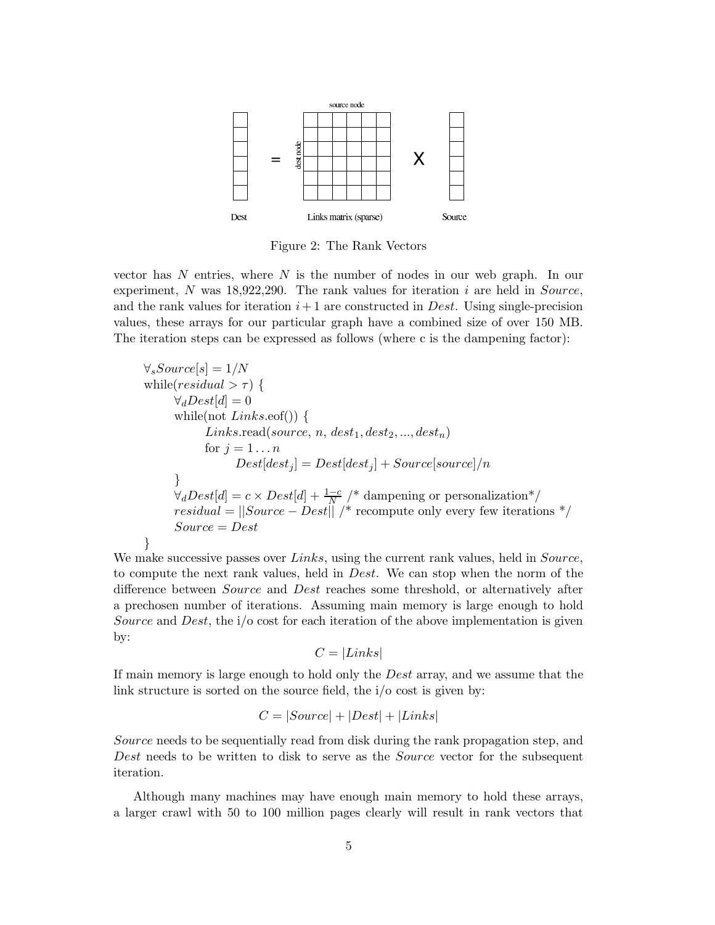

Figure 2: The Rank Vectors

vector has  $N$  entries, where  $N$  is the number of nodes in our web graph. In our experiment,  $N$  was 18,922,290. The rank values for iteration  $i$  are held in Source, and the rank values for iteration  $i+1$  are constructed in *Dest*. Using single-precision values, these arrays for our particular graph have a combined size of over 150 MB. The iteration steps can be expressed as follows (where c is the dampening factor):

 $\forall sSource[s] = 1/N$ while(*residual*  $> \tau$ ) {  $\forall_d Dest[d] = 0$ while(not  $Links.eof()$ ) {  $Links.read(source, n, dest_1, dest_2, ..., dest_n)$ for  $j = 1 \ldots n$  $Dest[dest_i] = Dest[dest_i] + Source[source]/n$ }  $\forall_d Dest[d] = c \times Dest[d] + \frac{1-c}{N}$  /\* dampening or personalization\*/  $residual = ||Source - Dest||$  /\* recompute only every few iterations \*/  $Source = Dest$ }

We make successive passes over  $Links$ , using the current rank values, held in  $Source$ , to compute the next rank values, held in Dest. We can stop when the norm of the difference between Source and Dest reaches some threshold, or alternatively after a prechosen number of iterations. Assuming main memory is large enough to hold Source and Dest, the i/o cost for each iteration of the above implementation is given by:

$$
C = |Links|
$$

If main memory is large enough to hold only the Dest array, and we assume that the link structure is sorted on the source field, the i/o cost is given by:

$$
C = |Source| + |Dest| + |Links|
$$

Source needs to be sequentially read from disk during the rank propagation step, and Dest needs to be written to disk to serve as the Source vector for the subsequent iteration.

Although many machines may have enough main memory to hold these arrays, a larger crawl with 50 to 100 million pages clearly will result in rank vectors that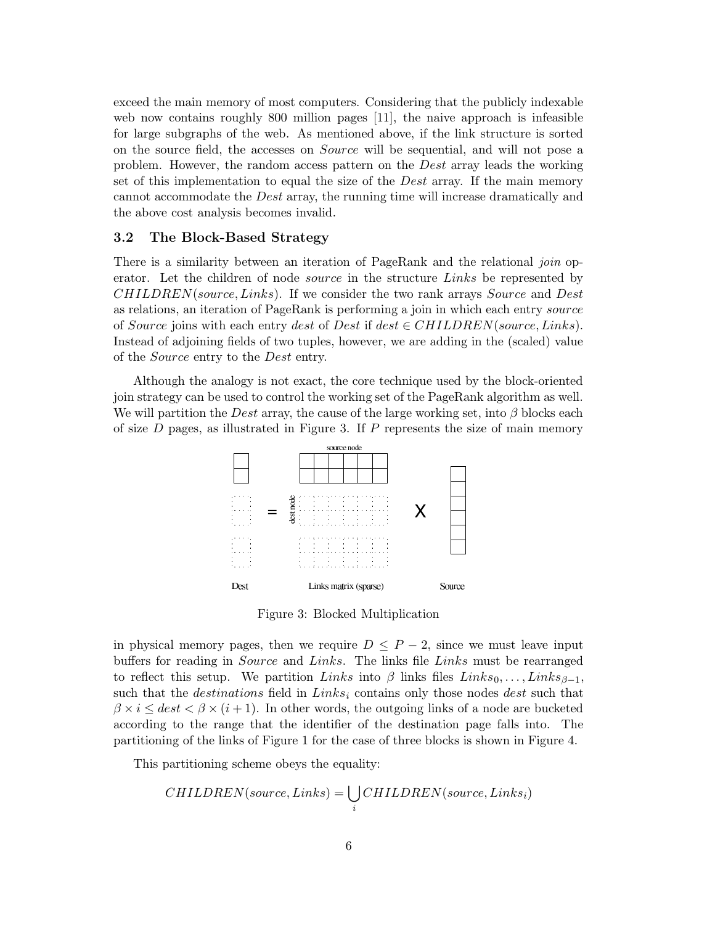exceed the main memory of most computers. Considering that the publicly indexable web now contains roughly 800 million pages [11], the naive approach is infeasible for large subgraphs of the web. As mentioned above, if the link structure is sorted on the source field, the accesses on Source will be sequential, and will not pose a problem. However, the random access pattern on the Dest array leads the working set of this implementation to equal the size of the Dest array. If the main memory cannot accommodate the Dest array, the running time will increase dramatically and the above cost analysis becomes invalid.

#### 3.2 The Block-Based Strategy

There is a similarity between an iteration of PageRank and the relational join operator. Let the children of node source in the structure Links be represented by CHILDREN(source,Links). If we consider the two rank arrays Source and Dest as relations, an iteration of PageRank is performing a join in which each entry source of Source joins with each entry dest of Dest if dest  $\in CHILDREN(source, Links)$ . Instead of adjoining fields of two tuples, however, we are adding in the (scaled) value of the Source entry to the Dest entry.

Although the analogy is not exact, the core technique used by the block-oriented join strategy can be used to control the working set of the PageRank algorithm as well. We will partition the Dest array, the cause of the large working set, into  $\beta$  blocks each of size  $D$  pages, as illustrated in Figure 3. If  $P$  represents the size of main memory



Figure 3: Blocked Multiplication

in physical memory pages, then we require  $D \leq P-2$ , since we must leave input buffers for reading in Source and Links. The links file Links must be rearranged to reflect this setup. We partition Links into β links files  $Links_0, \ldots, Links_{\beta-1}$ , such that the *destinations* field in  $Links_i$  contains only those nodes dest such that  $\beta \times i \leq dest < \beta \times (i + 1)$ . In other words, the outgoing links of a node are bucketed according to the range that the identifier of the destination page falls into. The partitioning of the links of Figure 1 for the case of three blocks is shown in Figure 4.

This partitioning scheme obeys the equality:

$$
CHILDREN(source, Links) = \bigcup_i CHILDREN(source, Links_i)
$$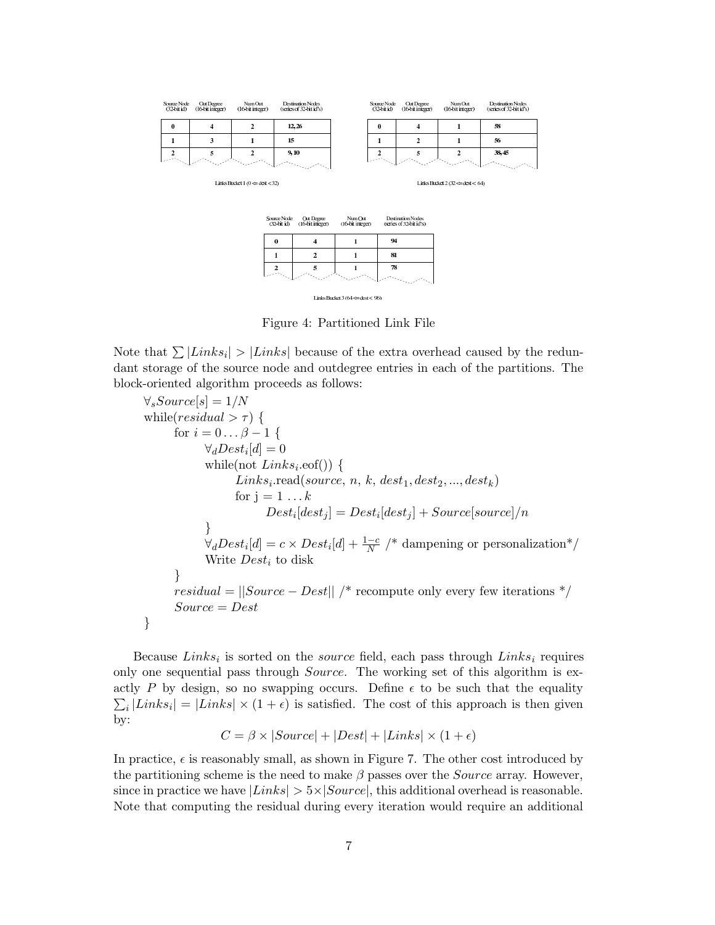

Links Bucket 3 ( $64 \Leftarrow$  dest < 96)

 $\overline{1}$ 

 $\overline{78}$ 

 $\overline{2}$ 

Figure 4: Partitioned Link File

Note that  $\sum |Links_i| > |Links|$  because of the extra overhead caused by the redundant storage of the source node and outdegree entries in each of the partitions. The block-oriented algorithm proceeds as follows:

$$
\forall_{s}Source[s] = 1/N
$$
\nwhile  $(residual > \tau)$  {\n for  $i = 0... \beta - 1$  {\n  $\forall_{d}Dest_i[d] = 0$ \n while (not *Links<sub>i</sub>*.eeof()) {\n *Links<sub>i</sub>*.read(*source*, n, k, dest1, dest2, ..., destk)\n for  $j = 1...k$ \n  $Dest_i[dest_j] = Dest_i[dest_j] + Source[source]/n$ \n }\n  $\forall_{d}Dest_i[d] = c \times Dest_i[d] + \frac{1-c}{N}$  \* damping or personalization \*/\n Write  $Dest_i$  to disk\n }\n }  
\n residue1 = ||Source - Dest|| /\* recompute only every few iterations \*/\n Source = Dest\n}

Because  $Links_i$  is sorted on the *source* field, each pass through  $Links_i$  requires only one sequential pass through Source. The working set of this algorithm is exactly P by design, so no swapping occurs. Define  $\epsilon$  to be such that the equality  $\sum_i |Links_i| = |Links| \times (1+\epsilon)$  is satisfied. The cost of this approach is then given by:

$$
C = \beta \times |Source| + |Dest| + |Links| \times (1 + \epsilon)
$$

In practice,  $\epsilon$  is reasonably small, as shown in Figure 7. The other cost introduced by the partitioning scheme is the need to make  $\beta$  passes over the *Source* array. However, since in practice we have  $|Links| > 5 \times |Source|$ , this additional overhead is reasonable. Note that computing the residual during every iteration would require an additional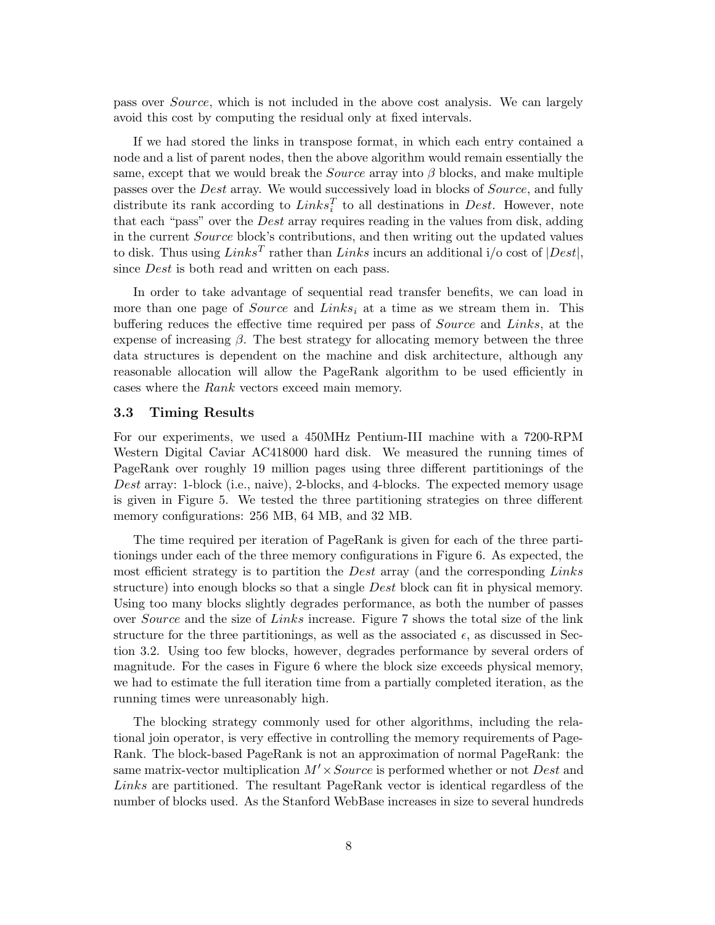pass over Source, which is not included in the above cost analysis. We can largely avoid this cost by computing the residual only at fixed intervals.

If we had stored the links in transpose format, in which each entry contained a node and a list of parent nodes, then the above algorithm would remain essentially the same, except that we would break the *Source* array into  $\beta$  blocks, and make multiple passes over the Dest array. We would successively load in blocks of Source, and fully distribute its rank according to  $Links_i^T$  to all destinations in *Dest*. However, note that each "pass" over the Dest array requires reading in the values from disk, adding in the current Source block's contributions, and then writing out the updated values to disk. Thus using  $Links^T$  rather than  $Links$  incurs an additional i/o cost of  $|Dest|$ , since *Dest* is both read and written on each pass.

In order to take advantage of sequential read transfer benefits, we can load in more than one page of *Source* and *Links<sub>i</sub>* at a time as we stream them in. This buffering reduces the effective time required per pass of Source and Links, at the expense of increasing  $\beta$ . The best strategy for allocating memory between the three data structures is dependent on the machine and disk architecture, although any reasonable allocation will allow the PageRank algorithm to be used efficiently in cases where the Rank vectors exceed main memory.

#### 3.3 Timing Results

For our experiments, we used a 450MHz Pentium-III machine with a 7200-RPM Western Digital Caviar AC418000 hard disk. We measured the running times of PageRank over roughly 19 million pages using three different partitionings of the Dest array: 1-block (i.e., naive), 2-blocks, and 4-blocks. The expected memory usage is given in Figure 5. We tested the three partitioning strategies on three different memory configurations: 256 MB, 64 MB, and 32 MB.

The time required per iteration of PageRank is given for each of the three partitionings under each of the three memory configurations in Figure 6. As expected, the most efficient strategy is to partition the *Dest* array (and the corresponding Links structure) into enough blocks so that a single *Dest* block can fit in physical memory. Using too many blocks slightly degrades performance, as both the number of passes over Source and the size of Links increase. Figure 7 shows the total size of the link structure for the three partitionings, as well as the associated  $\epsilon$ , as discussed in Section 3.2. Using too few blocks, however, degrades performance by several orders of magnitude. For the cases in Figure 6 where the block size exceeds physical memory, we had to estimate the full iteration time from a partially completed iteration, as the running times were unreasonably high.

The blocking strategy commonly used for other algorithms, including the relational join operator, is very effective in controlling the memory requirements of Page-Rank. The block-based PageRank is not an approximation of normal PageRank: the same matrix-vector multiplication  $M' \times Source$  is performed whether or not Dest and Links are partitioned. The resultant PageRank vector is identical regardless of the number of blocks used. As the Stanford WebBase increases in size to several hundreds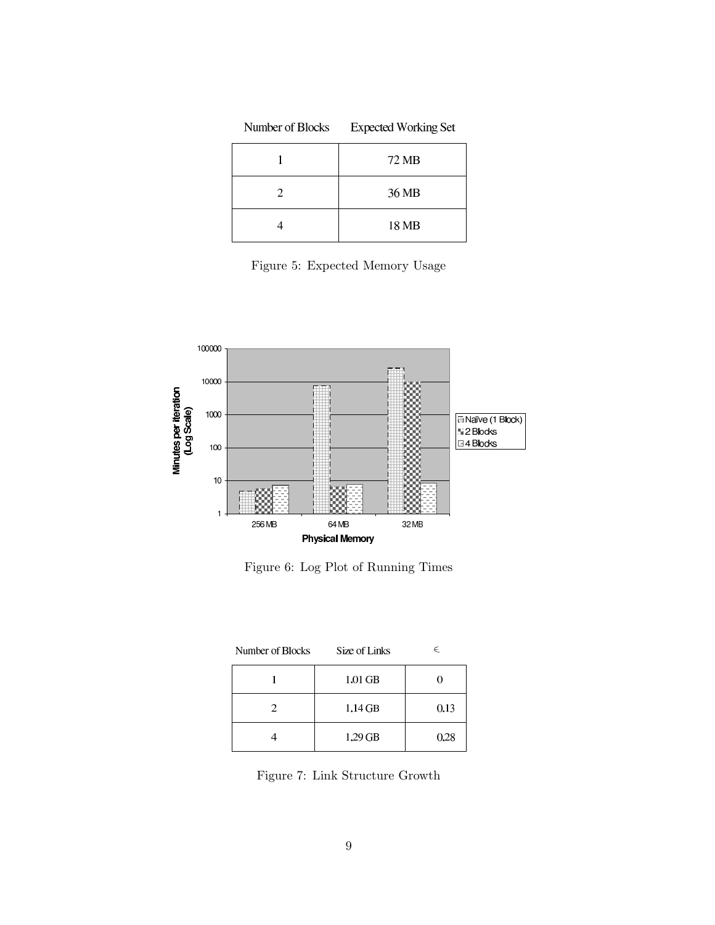| Number of Blocks | <b>Expected Working Set</b> |  |
|------------------|-----------------------------|--|
|                  | 72 MB                       |  |
| 2                | 36 MB                       |  |
|                  | 18 MB                       |  |

Figure 5: Expected Memory Usage



Figure 6: Log Plot of Running Times

| Number of Blocks | Size of Links | E    |
|------------------|---------------|------|
|                  | 1.01 GB       |      |
| 2.               | $1.14$ GB     | 0.13 |
|                  | $1.29$ GB     | 0.28 |

Figure 7: Link Structure Growth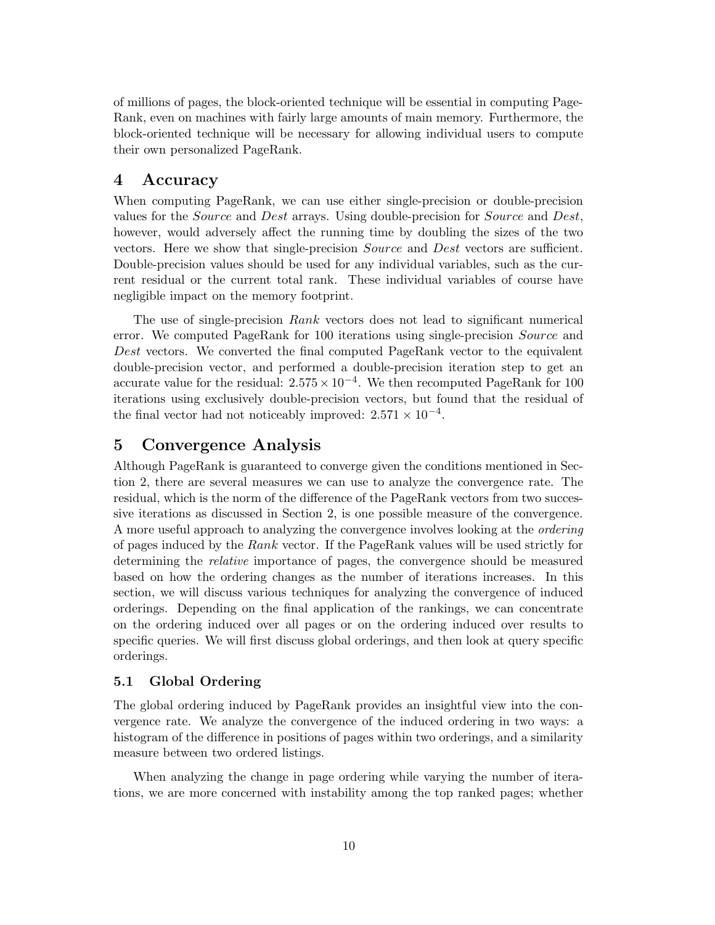of millions of pages, the block-oriented technique will be essential in computing Page-Rank, even on machines with fairly large amounts of main memory. Furthermore, the block-oriented technique will be necessary for allowing individual users to compute their own personalized PageRank.

# 4 Accuracy

When computing PageRank, we can use either single-precision or double-precision values for the Source and Dest arrays. Using double-precision for Source and Dest, however, would adversely affect the running time by doubling the sizes of the two vectors. Here we show that single-precision Source and Dest vectors are sufficient. Double-precision values should be used for any individual variables, such as the current residual or the current total rank. These individual variables of course have negligible impact on the memory footprint.

The use of single-precision Rank vectors does not lead to significant numerical error. We computed PageRank for 100 iterations using single-precision Source and Dest vectors. We converted the final computed PageRank vector to the equivalent double-precision vector, and performed a double-precision iteration step to get an accurate value for the residual:  $2.575 \times 10^{-4}$ . We then recomputed PageRank for 100 iterations using exclusively double-precision vectors, but found that the residual of the final vector had not noticeably improved:  $2.571 \times 10^{-4}$ .

# 5 Convergence Analysis

Although PageRank is guaranteed to converge given the conditions mentioned in Section 2, there are several measures we can use to analyze the convergence rate. The residual, which is the norm of the difference of the PageRank vectors from two successive iterations as discussed in Section 2, is one possible measure of the convergence. A more useful approach to analyzing the convergence involves looking at the ordering of pages induced by the Rank vector. If the PageRank values will be used strictly for determining the relative importance of pages, the convergence should be measured based on how the ordering changes as the number of iterations increases. In this section, we will discuss various techniques for analyzing the convergence of induced orderings. Depending on the final application of the rankings, we can concentrate on the ordering induced over all pages or on the ordering induced over results to specific queries. We will first discuss global orderings, and then look at query specific orderings.

### 5.1 Global Ordering

The global ordering induced by PageRank provides an insightful view into the convergence rate. We analyze the convergence of the induced ordering in two ways: a histogram of the difference in positions of pages within two orderings, and a similarity measure between two ordered listings.

When analyzing the change in page ordering while varying the number of iterations, we are more concerned with instability among the top ranked pages; whether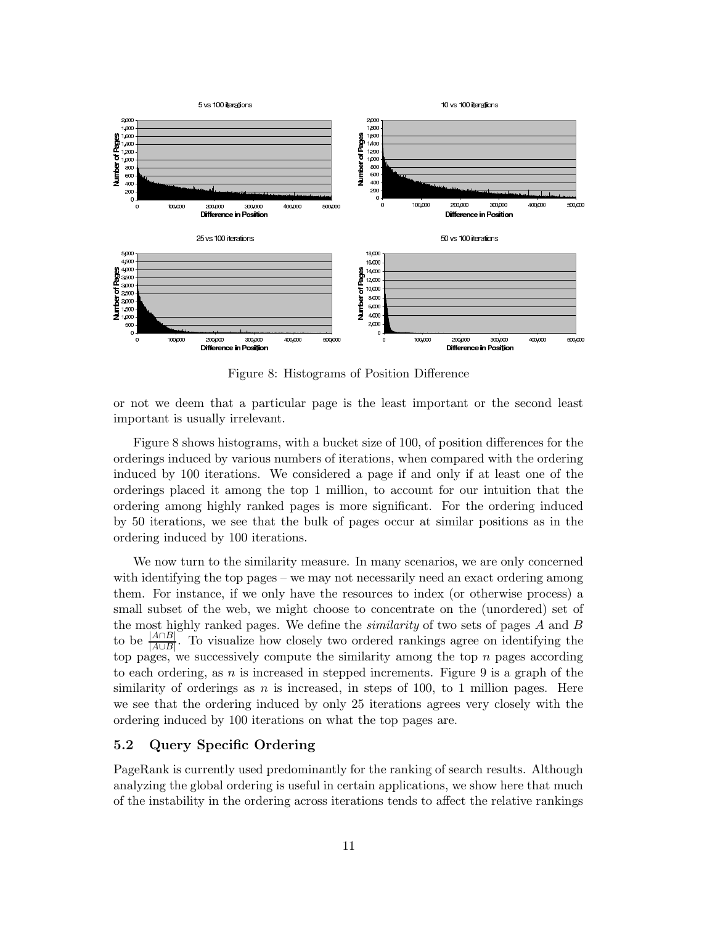

Figure 8: Histograms of Position Difference

or not we deem that a particular page is the least important or the second least important is usually irrelevant.

Figure 8 shows histograms, with a bucket size of 100, of position differences for the orderings induced by various numbers of iterations, when compared with the ordering induced by 100 iterations. We considered a page if and only if at least one of the orderings placed it among the top 1 million, to account for our intuition that the ordering among highly ranked pages is more significant. For the ordering induced by 50 iterations, we see that the bulk of pages occur at similar positions as in the ordering induced by 100 iterations.

We now turn to the similarity measure. In many scenarios, we are only concerned with identifying the top pages – we may not necessarily need an exact ordering among them. For instance, if we only have the resources to index (or otherwise process) a small subset of the web, we might choose to concentrate on the (unordered) set of the most highly ranked pages. We define the *similarity* of two sets of pages  $A$  and  $B$ to be  $\frac{|A \cap B|}{|A| |B|}$  $\frac{|A||B|}{|A\cup B|}$ . To visualize how closely two ordered rankings agree on identifying the top pages, we successively compute the similarity among the top  $n$  pages according to each ordering, as  $n$  is increased in stepped increments. Figure 9 is a graph of the similarity of orderings as  $n$  is increased, in steps of 100, to 1 million pages. Here we see that the ordering induced by only 25 iterations agrees very closely with the ordering induced by 100 iterations on what the top pages are.

#### 5.2 Query Specific Ordering

PageRank is currently used predominantly for the ranking of search results. Although analyzing the global ordering is useful in certain applications, we show here that much of the instability in the ordering across iterations tends to affect the relative rankings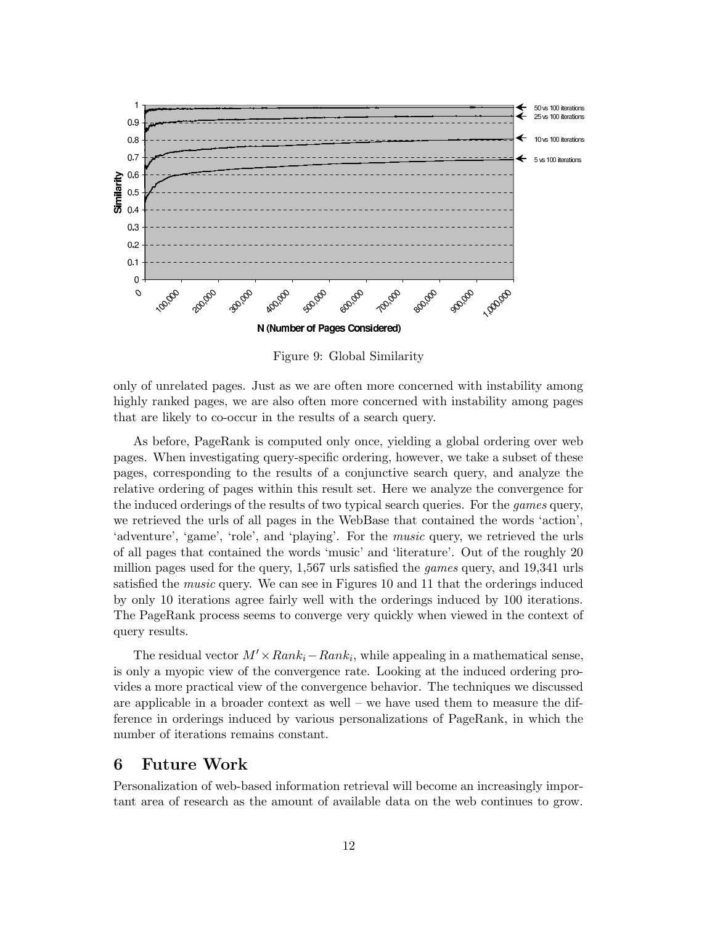

Figure 9: Global Similarity

only of unrelated pages. Just as we are often more concerned with instability among highly ranked pages, we are also often more concerned with instability among pages that are likely to co-occur in the results of a search query.

As before, PageRank is computed only once, yielding a global ordering over web pages. When investigating query-specific ordering, however, we take a subset of these pages, corresponding to the results of a conjunctive search query, and analyze the relative ordering of pages within this result set. Here we analyze the convergence for the induced orderings of the results of two typical search queries. For the *games* query, we retrieved the urls of all pages in the WebBase that contained the words 'action', 'adventure', 'game', 'role', and 'playing'. For the *music* query, we retrieved the urls of all pages that contained the words 'music' and 'literature'. Out of the roughly 20 million pages used for the query, 1,567 urls satisfied the games query, and 19,341 urls satisfied the music query. We can see in Figures 10 and 11 that the orderings induced by only 10 iterations agree fairly well with the orderings induced by 100 iterations. The PageRank process seems to converge very quickly when viewed in the context of query results.

The residual vector  $M' \times Rank_i - Rank_i$ , while appealing in a mathematical sense, is only a myopic view of the convergence rate. Looking at the induced ordering provides a more practical view of the convergence behavior. The techniques we discussed are applicable in a broader context as well – we have used them to measure the difference in orderings induced by various personalizations of PageRank, in which the number of iterations remains constant.

### 6 Future Work

Personalization of web-based information retrieval will become an increasingly important area of research as the amount of available data on the web continues to grow.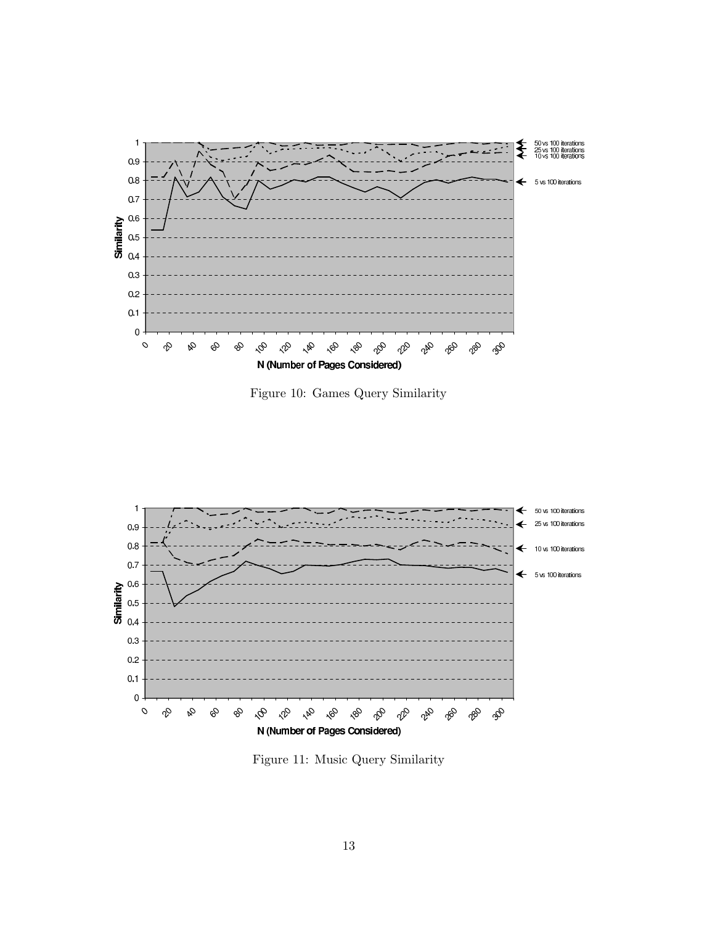

Figure 10: Games Query Similarity



Figure 11: Music Query Similarity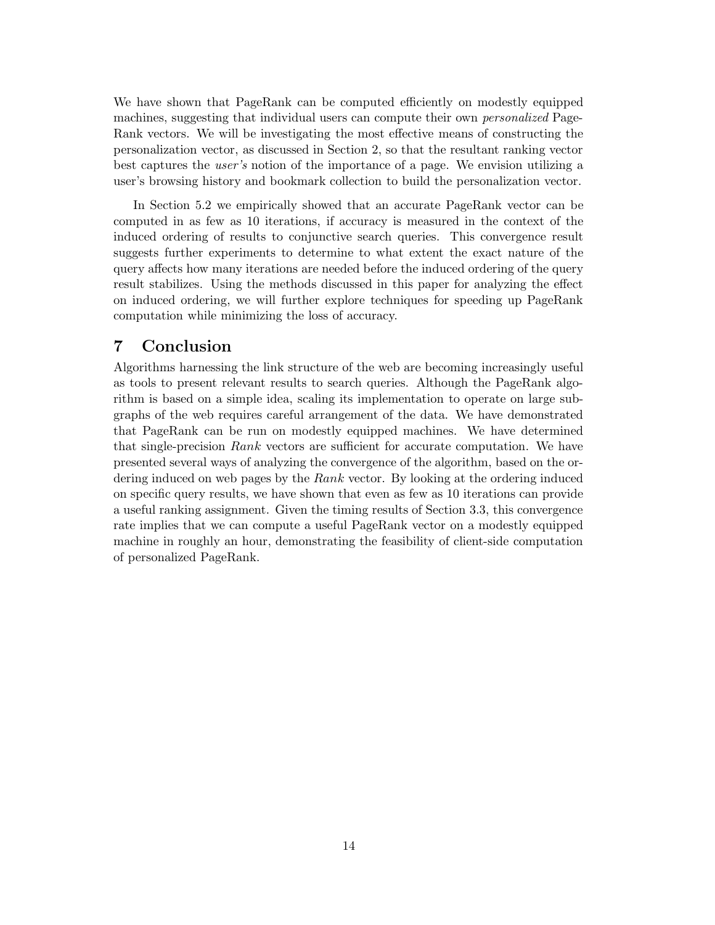We have shown that PageRank can be computed efficiently on modestly equipped machines, suggesting that individual users can compute their own personalized Page-Rank vectors. We will be investigating the most effective means of constructing the personalization vector, as discussed in Section 2, so that the resultant ranking vector best captures the user's notion of the importance of a page. We envision utilizing a user's browsing history and bookmark collection to build the personalization vector.

In Section 5.2 we empirically showed that an accurate PageRank vector can be computed in as few as 10 iterations, if accuracy is measured in the context of the induced ordering of results to conjunctive search queries. This convergence result suggests further experiments to determine to what extent the exact nature of the query affects how many iterations are needed before the induced ordering of the query result stabilizes. Using the methods discussed in this paper for analyzing the effect on induced ordering, we will further explore techniques for speeding up PageRank computation while minimizing the loss of accuracy.

## 7 Conclusion

Algorithms harnessing the link structure of the web are becoming increasingly useful as tools to present relevant results to search queries. Although the PageRank algorithm is based on a simple idea, scaling its implementation to operate on large subgraphs of the web requires careful arrangement of the data. We have demonstrated that PageRank can be run on modestly equipped machines. We have determined that single-precision Rank vectors are sufficient for accurate computation. We have presented several ways of analyzing the convergence of the algorithm, based on the ordering induced on web pages by the Rank vector. By looking at the ordering induced on specific query results, we have shown that even as few as 10 iterations can provide a useful ranking assignment. Given the timing results of Section 3.3, this convergence rate implies that we can compute a useful PageRank vector on a modestly equipped machine in roughly an hour, demonstrating the feasibility of client-side computation of personalized PageRank.